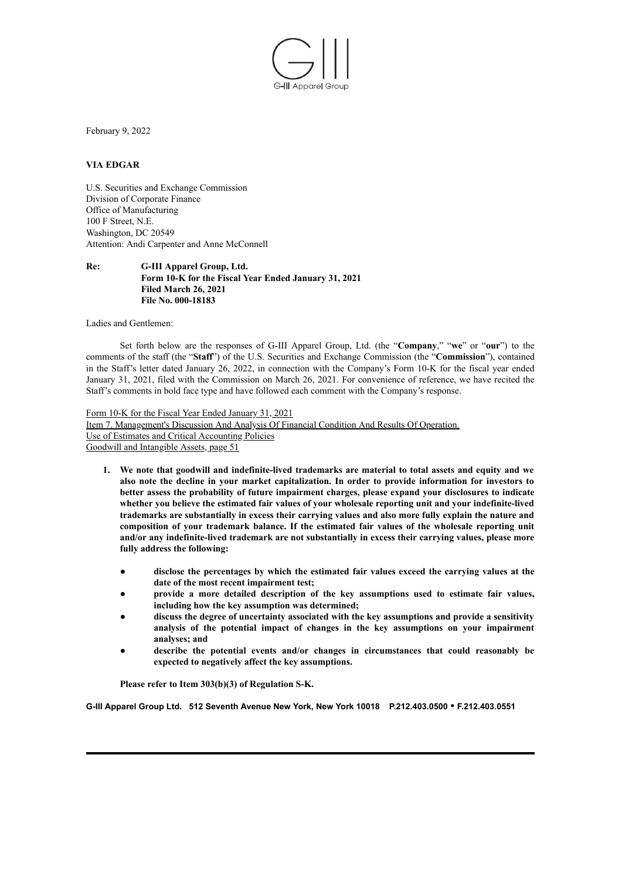

February 9, 2022

## **VIA EDGAR**

U.S. Securities and Exchange Commission Division of Corporate Finance Office of Manufacturing 100 F Street, N.E. Washington, DC 20549 Attention: Andi Carpenter and Anne McConnell

## **Re: G-III Apparel Group, Ltd. Form 10-K for the Fiscal Year Ended January 31, 2021 Filed March 26, 2021 File No. 000-18183**

Ladies and Gentlemen:

Set forth below are the responses of G-III Apparel Group, Ltd. (the "**Company**," "**we**" or "**our**") to the comments of the staff (the "**Staff**") of the U.S. Securities and Exchange Commission (the "**Commission**"), contained in the Staff's letter dated January 26, 2022, in connection with the Company's Form 10-K for the fiscal year ended January 31, 2021, filed with the Commission on March 26, 2021. For convenience of reference, we have recited the Staff's comments in bold face type and have followed each comment with the Company's response.

Form 10-K for the Fiscal Year Ended January 31, 2021 Item 7. Management's Discussion And Analysis Of Financial Condition And Results Of Operation. Use of Estimates and Critical Accounting Policies Goodwill and Intangible Assets, page 51

- **1. We note that goodwill and indefinite-lived trademarks are material to total assets and equity and we also note the decline in your market capitalization. In order to provide information for investors to better assess the probability of future impairment charges, please expand your disclosures to indicate whether you believe the estimated fair values of your wholesale reporting unit and your indefinite-lived trademarks are substantially in excess their carrying values and also more fully explain the nature and composition of your trademark balance. If the estimated fair values of the wholesale reporting unit and/or any indefinite-lived trademark are not substantially in excess their carrying values, please more fully address the following:**
	- **disclose the percentages by which the estimated fair values exceed the carrying values at the date of the most recent impairment test;**
	- **provide a more detailed description of the key assumptions used to estimate fair values, including how the key assumption was determined;**
	- **discuss the degree of uncertainty associated with the key assumptions and provide a sensitivity analysis of the potential impact of changes in the key assumptions on your impairment analyses; and**
	- **describe the potential events and/or changes in circumstances that could reasonably be expected to negatively affect the key assumptions.**

**Please refer to Item 303(b)(3) of Regulation S-K.**

**G-III Apparel Group Ltd. 512 Seventh Avenue New York, New York 10018 P.212.403.0500 • F.212.403.0551**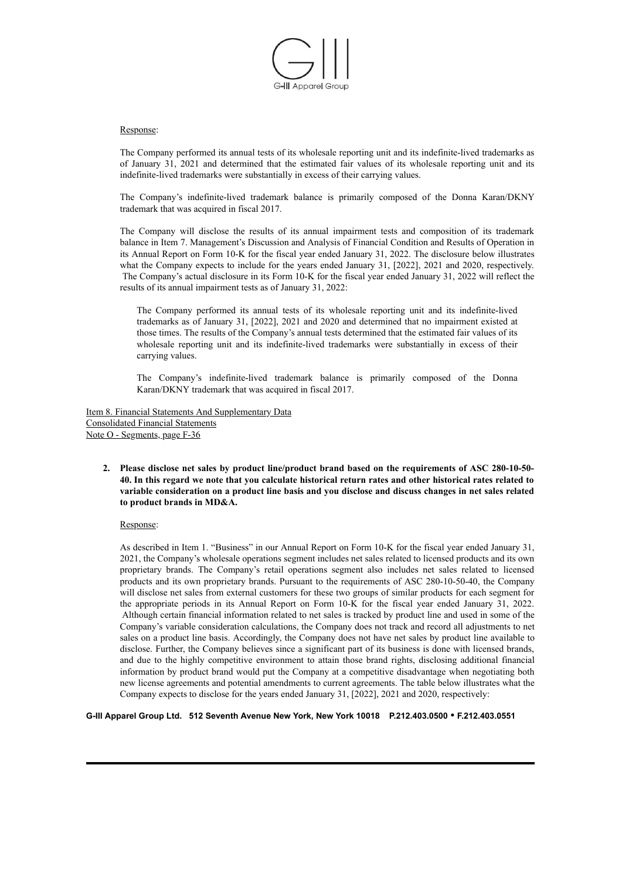

## Response:

The Company performed its annual tests of its wholesale reporting unit and its indefinite-lived trademarks as of January 31, 2021 and determined that the estimated fair values of its wholesale reporting unit and its indefinite-lived trademarks were substantially in excess of their carrying values.

The Company's indefinite-lived trademark balance is primarily composed of the Donna Karan/DKNY trademark that was acquired in fiscal 2017.

The Company will disclose the results of its annual impairment tests and composition of its trademark balance in Item 7. Management's Discussion and Analysis of Financial Condition and Results of Operation in its Annual Report on Form 10-K for the fiscal year ended January 31, 2022. The disclosure below illustrates what the Company expects to include for the years ended January 31, [2022], 2021 and 2020, respectively. The Company's actual disclosure in its Form 10-K for the fiscal year ended January 31, 2022 will reflect the results of its annual impairment tests as of January 31, 2022:

The Company performed its annual tests of its wholesale reporting unit and its indefinite-lived trademarks as of January 31, [2022], 2021 and 2020 and determined that no impairment existed at those times. The results of the Company's annual tests determined that the estimated fair values of its wholesale reporting unit and its indefinite-lived trademarks were substantially in excess of their carrying values.

The Company's indefinite-lived trademark balance is primarily composed of the Donna Karan/DKNY trademark that was acquired in fiscal 2017.

Item 8. Financial Statements And Supplementary Data Consolidated Financial Statements Note O - Segments, page F-36

**2. Please disclose net sales by product line/product brand based on the requirements of ASC 280-10-50-** 40. In this regard we note that you calculate historical return rates and other historical rates related to **variable consideration on a product line basis and you disclose and discuss changes in net sales related to product brands in MD&A.**

Response:

As described in Item 1. "Business" in our Annual Report on Form 10-K for the fiscal year ended January 31, 2021, the Company's wholesale operations segment includes net sales related to licensed products and its own proprietary brands. The Company's retail operations segment also includes net sales related to licensed products and its own proprietary brands. Pursuant to the requirements of ASC 280-10-50-40, the Company will disclose net sales from external customers for these two groups of similar products for each segment for the appropriate periods in its Annual Report on Form 10-K for the fiscal year ended January 31, 2022. Although certain financial information related to net sales is tracked by product line and used in some of the Company's variable consideration calculations, the Company does not track and record all adjustments to net sales on a product line basis. Accordingly, the Company does not have net sales by product line available to disclose. Further, the Company believes since a significant part of its business is done with licensed brands, and due to the highly competitive environment to attain those brand rights, disclosing additional financial information by product brand would put the Company at a competitive disadvantage when negotiating both new license agreements and potential amendments to current agreements. The table below illustrates what the Company expects to disclose for the years ended January 31, [2022], 2021 and 2020, respectively:

**G-III Apparel Group Ltd. 512 Seventh Avenue New York, New York 10018 P.212.403.0500 • F.212.403.0551**